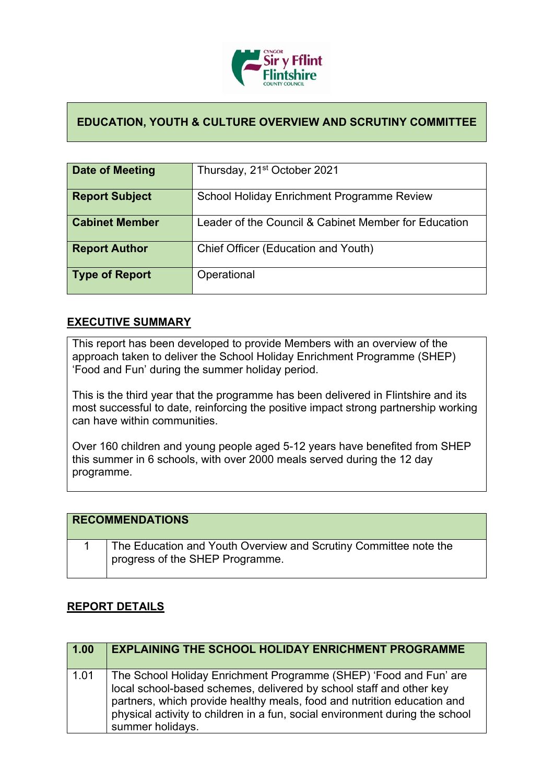

## **EDUCATION, YOUTH & CULTURE OVERVIEW AND SCRUTINY COMMITTEE**

| Date of Meeting       | Thursday, 21 <sup>st</sup> October 2021              |
|-----------------------|------------------------------------------------------|
| <b>Report Subject</b> | School Holiday Enrichment Programme Review           |
| <b>Cabinet Member</b> | Leader of the Council & Cabinet Member for Education |
| <b>Report Author</b>  | Chief Officer (Education and Youth)                  |
| Type of Report        | Operational                                          |

## **EXECUTIVE SUMMARY**

This report has been developed to provide Members with an overview of the approach taken to deliver the School Holiday Enrichment Programme (SHEP) 'Food and Fun' during the summer holiday period.

This is the third year that the programme has been delivered in Flintshire and its most successful to date, reinforcing the positive impact strong partnership working can have within communities.

Over 160 children and young people aged 5-12 years have benefited from SHEP this summer in 6 schools, with over 2000 meals served during the 12 day programme.

| <b>RECOMMENDATIONS</b>                                                                              |
|-----------------------------------------------------------------------------------------------------|
| The Education and Youth Overview and Scrutiny Committee note the<br>progress of the SHEP Programme. |

## **REPORT DETAILS**

| 1.00 | <b>EXPLAINING THE SCHOOL HOLIDAY ENRICHMENT PROGRAMME</b>                                                                                                                                                                                                                                                               |
|------|-------------------------------------------------------------------------------------------------------------------------------------------------------------------------------------------------------------------------------------------------------------------------------------------------------------------------|
| 1.01 | The School Holiday Enrichment Programme (SHEP) 'Food and Fun' are<br>local school-based schemes, delivered by school staff and other key<br>partners, which provide healthy meals, food and nutrition education and<br>physical activity to children in a fun, social environment during the school<br>summer holidays. |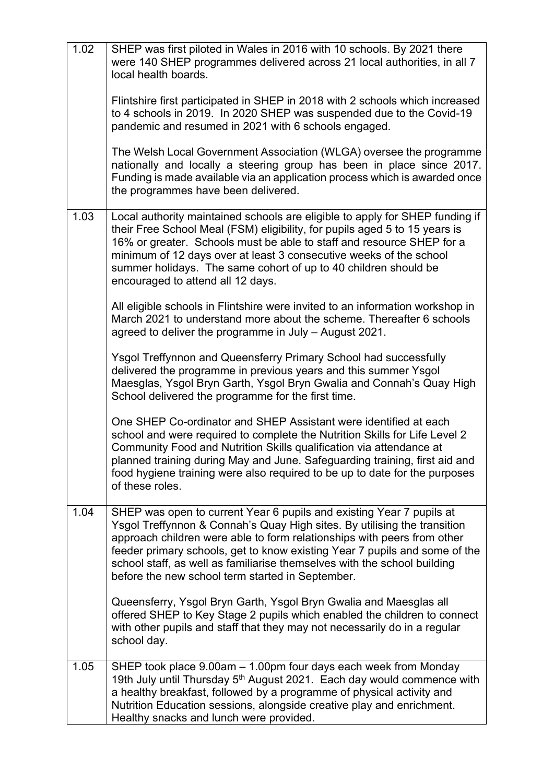| 1.02 | SHEP was first piloted in Wales in 2016 with 10 schools. By 2021 there<br>were 140 SHEP programmes delivered across 21 local authorities, in all 7<br>local health boards.                                                                                                                                                                                                                                                                |
|------|-------------------------------------------------------------------------------------------------------------------------------------------------------------------------------------------------------------------------------------------------------------------------------------------------------------------------------------------------------------------------------------------------------------------------------------------|
|      | Flintshire first participated in SHEP in 2018 with 2 schools which increased<br>to 4 schools in 2019. In 2020 SHEP was suspended due to the Covid-19<br>pandemic and resumed in 2021 with 6 schools engaged.                                                                                                                                                                                                                              |
|      | The Welsh Local Government Association (WLGA) oversee the programme<br>nationally and locally a steering group has been in place since 2017.<br>Funding is made available via an application process which is awarded once<br>the programmes have been delivered.                                                                                                                                                                         |
| 1.03 | Local authority maintained schools are eligible to apply for SHEP funding if<br>their Free School Meal (FSM) eligibility, for pupils aged 5 to 15 years is<br>16% or greater. Schools must be able to staff and resource SHEP for a<br>minimum of 12 days over at least 3 consecutive weeks of the school<br>summer holidays. The same cohort of up to 40 children should be<br>encouraged to attend all 12 days.                         |
|      | All eligible schools in Flintshire were invited to an information workshop in<br>March 2021 to understand more about the scheme. Thereafter 6 schools<br>agreed to deliver the programme in July - August 2021.                                                                                                                                                                                                                           |
|      | Ysgol Treffynnon and Queensferry Primary School had successfully<br>delivered the programme in previous years and this summer Ysgol<br>Maesglas, Ysgol Bryn Garth, Ysgol Bryn Gwalia and Connah's Quay High<br>School delivered the programme for the first time.                                                                                                                                                                         |
|      | One SHEP Co-ordinator and SHEP Assistant were identified at each<br>school and were required to complete the Nutrition Skills for Life Level 2<br>Community Food and Nutrition Skills qualification via attendance at<br>planned training during May and June. Safeguarding training, first aid and<br>food hygiene training were also required to be up to date for the purposes<br>of these roles.                                      |
| 1.04 | SHEP was open to current Year 6 pupils and existing Year 7 pupils at<br>Ysgol Treffynnon & Connah's Quay High sites. By utilising the transition<br>approach children were able to form relationships with peers from other<br>feeder primary schools, get to know existing Year 7 pupils and some of the<br>school staff, as well as familiarise themselves with the school building<br>before the new school term started in September. |
|      | Queensferry, Ysgol Bryn Garth, Ysgol Bryn Gwalia and Maesglas all<br>offered SHEP to Key Stage 2 pupils which enabled the children to connect<br>with other pupils and staff that they may not necessarily do in a regular<br>school day.                                                                                                                                                                                                 |
| 1.05 | SHEP took place 9.00am - 1.00pm four days each week from Monday<br>19th July until Thursday 5 <sup>th</sup> August 2021. Each day would commence with<br>a healthy breakfast, followed by a programme of physical activity and<br>Nutrition Education sessions, alongside creative play and enrichment.<br>Healthy snacks and lunch were provided.                                                                                        |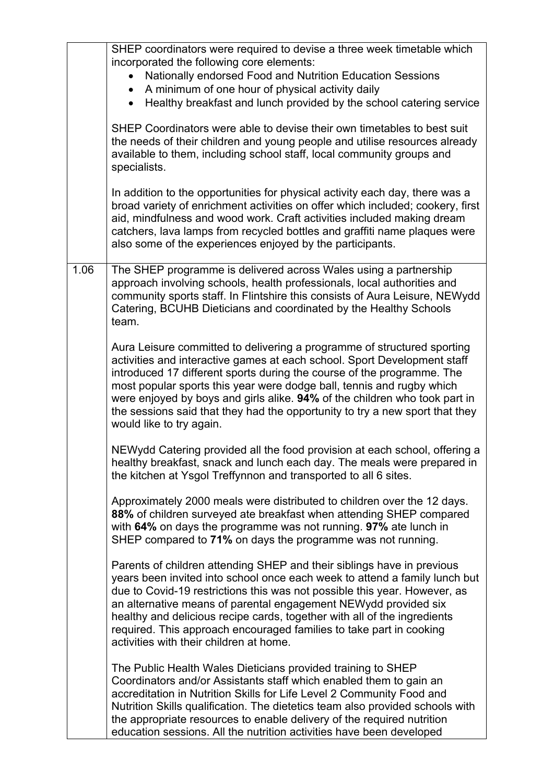|      | SHEP coordinators were required to devise a three week timetable which<br>incorporated the following core elements:<br>Nationally endorsed Food and Nutrition Education Sessions<br>A minimum of one hour of physical activity daily<br>Healthy breakfast and lunch provided by the school catering service<br>SHEP Coordinators were able to devise their own timetables to best suit<br>the needs of their children and young people and utilise resources already<br>available to them, including school staff, local community groups and<br>specialists.<br>In addition to the opportunities for physical activity each day, there was a<br>broad variety of enrichment activities on offer which included; cookery, first<br>aid, mindfulness and wood work. Craft activities included making dream<br>catchers, lava lamps from recycled bottles and graffiti name plaques were<br>also some of the experiences enjoyed by the participants. |
|------|-----------------------------------------------------------------------------------------------------------------------------------------------------------------------------------------------------------------------------------------------------------------------------------------------------------------------------------------------------------------------------------------------------------------------------------------------------------------------------------------------------------------------------------------------------------------------------------------------------------------------------------------------------------------------------------------------------------------------------------------------------------------------------------------------------------------------------------------------------------------------------------------------------------------------------------------------------|
| 1.06 | The SHEP programme is delivered across Wales using a partnership<br>approach involving schools, health professionals, local authorities and<br>community sports staff. In Flintshire this consists of Aura Leisure, NEWydd<br>Catering, BCUHB Dieticians and coordinated by the Healthy Schools<br>team.                                                                                                                                                                                                                                                                                                                                                                                                                                                                                                                                                                                                                                            |
|      | Aura Leisure committed to delivering a programme of structured sporting<br>activities and interactive games at each school. Sport Development staff<br>introduced 17 different sports during the course of the programme. The<br>most popular sports this year were dodge ball, tennis and rugby which<br>were enjoyed by boys and girls alike. 94% of the children who took part in<br>the sessions said that they had the opportunity to try a new sport that they<br>would like to try again.                                                                                                                                                                                                                                                                                                                                                                                                                                                    |
|      | NEWydd Catering provided all the food provision at each school, offering a<br>healthy breakfast, snack and lunch each day. The meals were prepared in<br>the kitchen at Ysgol Treffynnon and transported to all 6 sites.                                                                                                                                                                                                                                                                                                                                                                                                                                                                                                                                                                                                                                                                                                                            |
|      | Approximately 2000 meals were distributed to children over the 12 days.<br>88% of children surveyed ate breakfast when attending SHEP compared<br>with 64% on days the programme was not running. 97% ate lunch in<br>SHEP compared to 71% on days the programme was not running.                                                                                                                                                                                                                                                                                                                                                                                                                                                                                                                                                                                                                                                                   |
|      | Parents of children attending SHEP and their siblings have in previous<br>years been invited into school once each week to attend a family lunch but<br>due to Covid-19 restrictions this was not possible this year. However, as<br>an alternative means of parental engagement NEWydd provided six<br>healthy and delicious recipe cards, together with all of the ingredients<br>required. This approach encouraged families to take part in cooking<br>activities with their children at home.                                                                                                                                                                                                                                                                                                                                                                                                                                                  |
|      | The Public Health Wales Dieticians provided training to SHEP<br>Coordinators and/or Assistants staff which enabled them to gain an<br>accreditation in Nutrition Skills for Life Level 2 Community Food and<br>Nutrition Skills qualification. The dietetics team also provided schools with<br>the appropriate resources to enable delivery of the required nutrition<br>education sessions. All the nutrition activities have been developed                                                                                                                                                                                                                                                                                                                                                                                                                                                                                                      |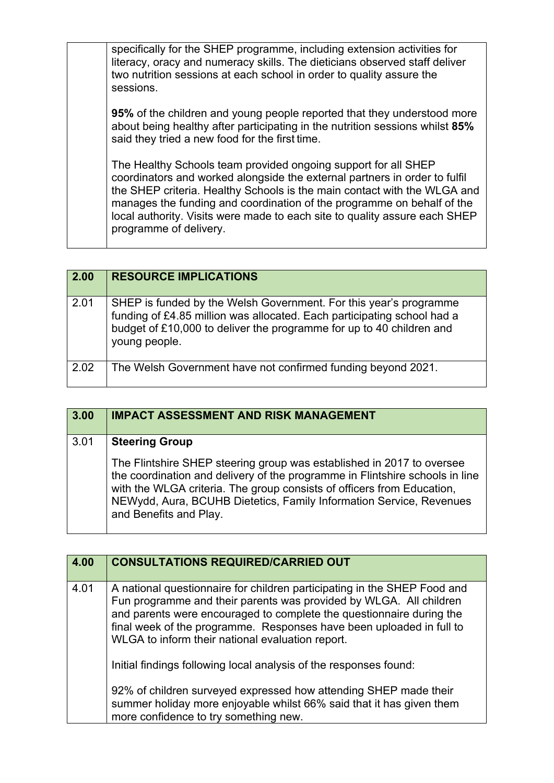|  | specifically for the SHEP programme, including extension activities for<br>literacy, oracy and numeracy skills. The dieticians observed staff deliver<br>two nutrition sessions at each school in order to quality assure the<br>sessions.                                                                                                                                                                 |
|--|------------------------------------------------------------------------------------------------------------------------------------------------------------------------------------------------------------------------------------------------------------------------------------------------------------------------------------------------------------------------------------------------------------|
|  | <b>95%</b> of the children and young people reported that they understood more<br>about being healthy after participating in the nutrition sessions whilst 85%<br>said they tried a new food for the first time.                                                                                                                                                                                           |
|  | The Healthy Schools team provided ongoing support for all SHEP<br>coordinators and worked alongside the external partners in order to fulfil<br>the SHEP criteria. Healthy Schools is the main contact with the WLGA and<br>manages the funding and coordination of the programme on behalf of the<br>local authority. Visits were made to each site to quality assure each SHEP<br>programme of delivery. |

| 2.00 | <b>RESOURCE IMPLICATIONS</b>                                                                                                                                                                                                          |
|------|---------------------------------------------------------------------------------------------------------------------------------------------------------------------------------------------------------------------------------------|
| 2.01 | SHEP is funded by the Welsh Government. For this year's programme<br>funding of £4.85 million was allocated. Each participating school had a<br>budget of £10,000 to deliver the programme for up to 40 children and<br>young people. |
| 2.02 | The Welsh Government have not confirmed funding beyond 2021.                                                                                                                                                                          |

| 3.00 | <b>IMPACT ASSESSMENT AND RISK MANAGEMENT</b>                                                                                                                                                                                                                                                                                     |
|------|----------------------------------------------------------------------------------------------------------------------------------------------------------------------------------------------------------------------------------------------------------------------------------------------------------------------------------|
| 3.01 | <b>Steering Group</b>                                                                                                                                                                                                                                                                                                            |
|      | The Flintshire SHEP steering group was established in 2017 to oversee<br>the coordination and delivery of the programme in Flintshire schools in line<br>with the WLGA criteria. The group consists of officers from Education,<br>NEWydd, Aura, BCUHB Dietetics, Family Information Service, Revenues<br>and Benefits and Play. |

| 4.00 | <b>CONSULTATIONS REQUIRED/CARRIED OUT</b>                                                                                                                                                                                                                                                                                                          |
|------|----------------------------------------------------------------------------------------------------------------------------------------------------------------------------------------------------------------------------------------------------------------------------------------------------------------------------------------------------|
| 4.01 | A national questionnaire for children participating in the SHEP Food and<br>Fun programme and their parents was provided by WLGA. All children<br>and parents were encouraged to complete the questionnaire during the<br>final week of the programme. Responses have been uploaded in full to<br>WLGA to inform their national evaluation report. |
|      | Initial findings following local analysis of the responses found:                                                                                                                                                                                                                                                                                  |
|      | 92% of children surveyed expressed how attending SHEP made their<br>summer holiday more enjoyable whilst 66% said that it has given them<br>more confidence to try something new.                                                                                                                                                                  |